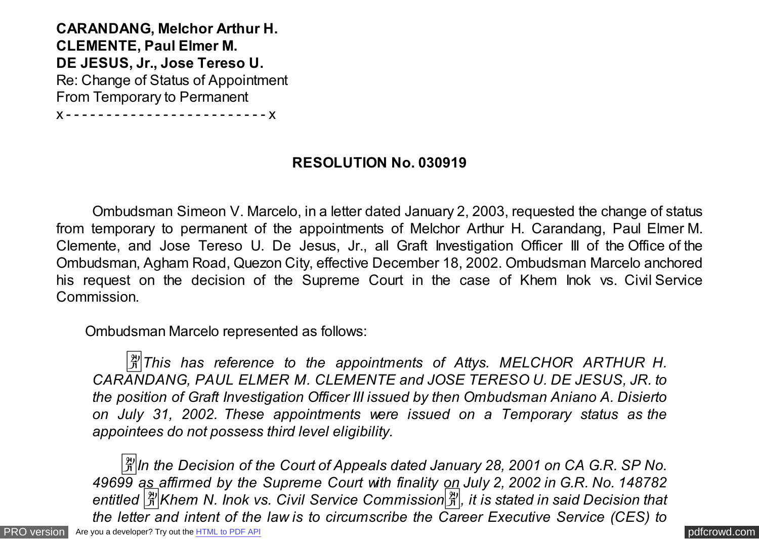**CARANDANG, Melchor Arthur H. CLEMENTE, Paul Elmer M. DE JESUS, Jr., Jose Tereso U.** Re: Change of Status of Appointment From Temporary to Permanent

x - - - - - - - - - - - - - - - - - - - - - - - - - x

## **RESOLUTION No. 030919**

 Ombudsman Simeon V. Marcelo, in a letter dated January 2, 2003, requested the change of status from temporary to permanent of the appointments of Melchor Arthur H. Carandang, Paul Elmer M. Clemente, and Jose Tereso U. De Jesus, Jr., all Graft Investigation Officer III of the Office of the Ombudsman, Agham Road, Quezon City, effective December 18, 2002. Ombudsman Marcelo anchored his request on the decision of the Supreme Court in the case of Khem Inok vs. Civil Service Commission.

Ombudsman Marcelo represented as follows:

*A*<sup>*This has reference to the appointments of Attys. MELCHOR ARTHUR H.*</sup> *CARANDANG, PAUL ELMER M. CLEMENTE and JOSE TERESO U. DE JESUS, JR. to the position of Graft Investigation Officer III issued by then Ombudsman Aniano A. Disierto on July 31, 2002. These appointments were issued on a Temporary status as the appointees do not possess third level eligibility.*

[PRO version](http://pdfcrowd.com/customize/) Are you a developer? Try out th[e HTML to PDF API](http://pdfcrowd.com/html-to-pdf-api/?ref=pdf) contract the CHTML of PDF API [pdfcrowd.com](http://pdfcrowd.com)  $\frac{3}{2}$ ln the Decision of the Court of Appeals dated January 28, 2001 on CA G.R. SP No. *49699 as affirmed by the Supreme Court with finality on July 2, 2002 in G.R. No. 148782 entitled* �*Khem N. Inok vs. Civil Service Commission*�*, it is stated in said Decision that the letter and intent of the law is to circumscribe the Career Executive Service (CES) to*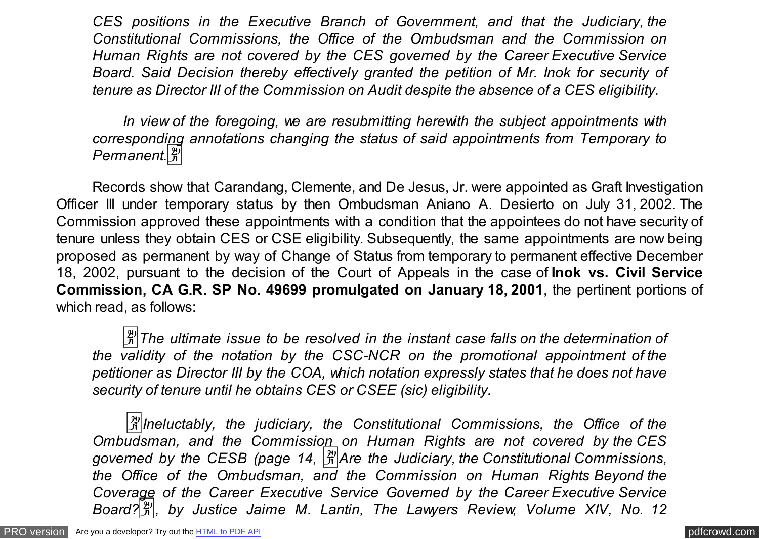*CES positions in the Executive Branch of Government, and that the Judiciary, the Constitutional Commissions, the Office of the Ombudsman and the Commission on Human Rights are not covered by the CES governed by the Career Executive Service Board. Said Decision thereby effectively granted the petition of Mr. Inok for security of tenure as Director III of the Commission on Audit despite the absence of a CES eligibility.*

 *In view of the foregoing, we are resubmitting herewith the subject appointments with corresponding annotations changing the status of said appointments from Temporary to Permanent.*�

 Records show that Carandang, Clemente, and De Jesus, Jr. were appointed as Graft Investigation Officer III under temporary status by then Ombudsman Aniano A. Desierto on July 31, 2002. The Commission approved these appointments with a condition that the appointees do not have security of tenure unless they obtain CES or CSE eligibility. Subsequently, the same appointments are now being proposed as permanent by way of Change of Status from temporary to permanent effective December 18, 2002, pursuant to the decision of the Court of Appeals in the case of **Inok vs. Civil Service Commission, CA G.R. SP No. 49699 promulgated on January 18, 2001**, the pertinent portions of which read, as follows:

 $\frac{3}{2}$ The ultimate issue to be resolved in the instant case falls on the determination of *the validity of the notation by the CSC-NCR on the promotional appointment of the petitioner as Director III by the COA, which notation expressly states that he does not have security of tenure until he obtains CES or CSEE (sic) eligibility.*

 �*Ineluctably, the judiciary, the Constitutional Commissions, the Office of the Ombudsman, and the Commission on Human Rights are not covered by the CES governed by the CESB (page 14,* �*Are the Judiciary, the Constitutional Commissions, the Office of the Ombudsman, and the Commission on Human Rights Beyond the Coverage of the Career Executive Service Governed by the Career Executive Service Board?*�*, by Justice Jaime M. Lantin, The Lawyers Review, Volume XIV, No. 12*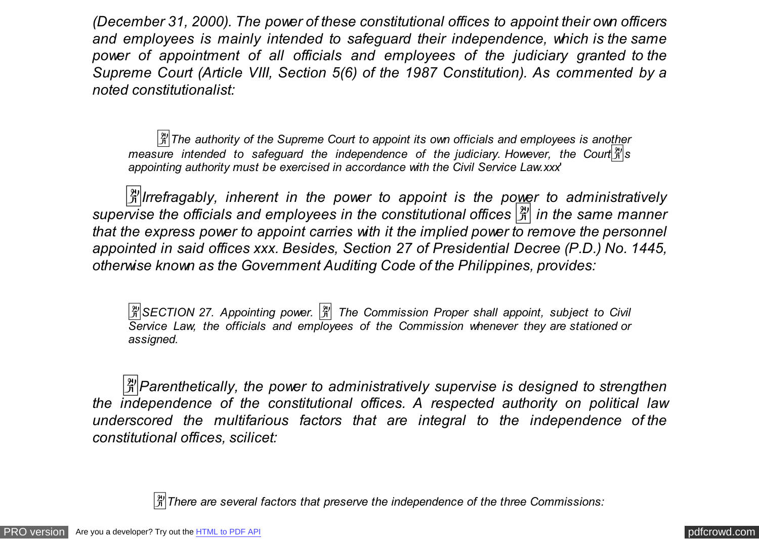*(December 31, 2000). The power of these constitutional offices to appoint their own officers and employees is mainly intended to safeguard their independence, which is the same power of appointment of all officials and employees of the judiciary granted to the Supreme Court (Article VIII, Section 5(6) of the 1987 Constitution). As commented by a noted constitutionalist:*

 $\frac{|\mathcal{H}|}{|\mathcal{H}|}$ The authority of the Supreme Court to appoint its own officials and employees is another *measure intended to safequard the independence of the judiciary. However, the Court appointing authority must be exercised in accordance with the Civil Service Law.xxx*'

 �*Irrefragably, inherent in the power to appoint is the power to administratively supervise the officials and employees in the constitutional offices* � *in the same manner that the express power to appoint carries with it the implied power to remove the personnel appointed in said offices xxx. Besides, Section 27 of Presidential Decree (P.D.) No. 1445, otherwise known as the Government Auditing Code of the Philippines, provides:*

 $\frac{20}{31}$ **SECTION 27. Appointing power.**  $\frac{20}{31}$  The Commission Proper shall appoint, subject to Civil *Service Law, the officials and employees of the Commission whenever they are stationed or assigned.*

 $\mathbb{R}^2$  Parenthetically, the power to administratively supervise is designed to strengthen *the independence of the constitutional offices. A respected authority on political law underscored the multifarious factors that are integral to the independence of the constitutional offices, scilicet:*

 $\frac{|\mathcal{X}|}{|\mathcal{X}|}$ There are several factors that preserve the independence of the three Commissions: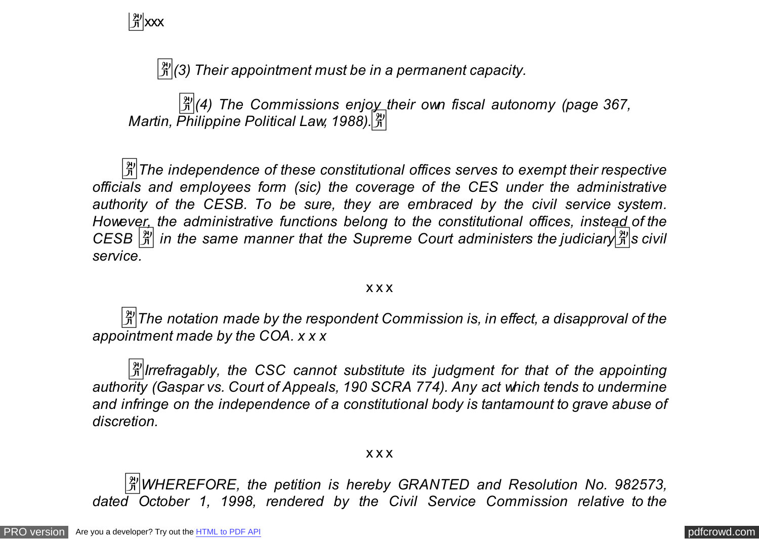$\frac{29}{11}$  xxx

�*(3) Their appointment must be in a permanent capacity.*

�*(4) The Commissions enjoy their own fiscal autonomy (page 367, Martin, Philippine Political Law, 1988).*�

 $\frac{3}{2}$ The independence of these constitutional offices serves to exempt their respective *officials and employees form (sic) the coverage of the CES under the administrative authority of the CESB. To be sure, they are embraced by the civil service system. However, the administrative functions belong to the constitutional offices, instead of the CESB*  $\frac{|\mathfrak{A}|}{|\mathfrak{A}|}$  in the same manner that the Supreme Court administers the judiciary  $\frac{|\mathfrak{A}|}{|\mathfrak{A}|}$ s civil *service.*

## x x x

 $\frac{3}{2}$ The notation made by the respondent Commission is, in effect, a disapproval of the *appointment made by the COA. x x x* 

 $\frac{3}{2}$ *Irrefragably, the CSC cannot substitute its judgment for that of the appointing authority (Gaspar vs. Court of Appeals, 190 SCRA 774). Any act which tends to undermine and infringe on the independence of a constitutional body is tantamount to grave abuse of discretion.*

x x x

 �*WHEREFORE, the petition is hereby GRANTED and Resolution No. 982573, dated October 1, 1998, rendered by the Civil Service Commission relative to the*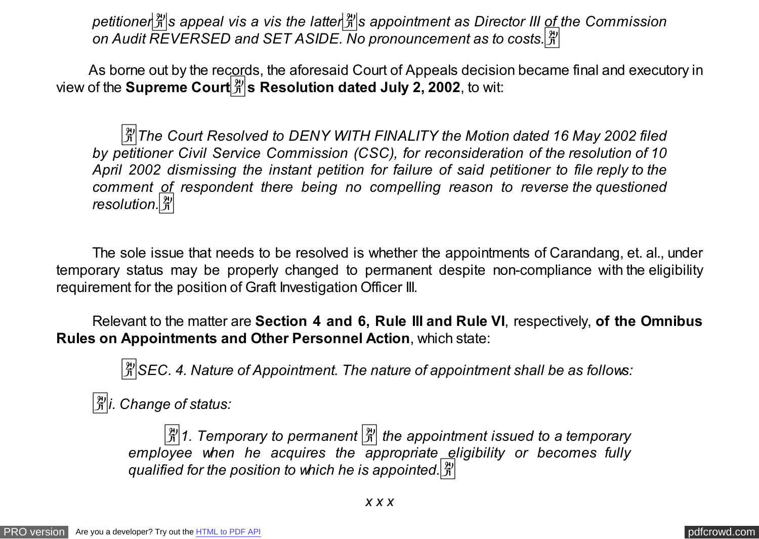*petitioner*�*s appeal vis a vis the latter*�*s appointment as Director III of the Commission on Audit REVERSED and SET ASIDE. No pronouncement as to costs.*�

As borne out by the records, the aforesaid Court of Appeals decision became final and executory in view of the **Supreme Court**�**s Resolution dated July 2, 2002**, to wit:

 $\frac{3}{4}$ The Court Resolved to DENY WITH FINALITY the Motion dated 16 May 2002 filed *by petitioner Civil Service Commission (CSC), for reconsideration of the resolution of 10 April 2002 dismissing the instant petition for failure of said petitioner to file reply to the comment of respondent there being no compelling reason to reverse the questioned resolution.*�

 The sole issue that needs to be resolved is whether the appointments of Carandang, et. al., under temporary status may be properly changed to permanent despite non-compliance with the eligibility requirement for the position of Graft Investigation Officer III.

 Relevant to the matter are **Section 4 and 6, Rule III and Rule VI**, respectively, **of the Omnibus Rules on Appointments and Other Personnel Action**, which state:

�*SEC. 4. Nature of Appointment. The nature of appointment shall be as follows:*

 $\left|\frac{\mathfrak{B}}{\mathfrak{B}}\right|$ *i.* Change of status:

�*1. Temporary to permanent* � *the appointment issued to a temporary employee when he acquires the appropriate eligibility or becomes fully qualified for the position to which he is appointed.*�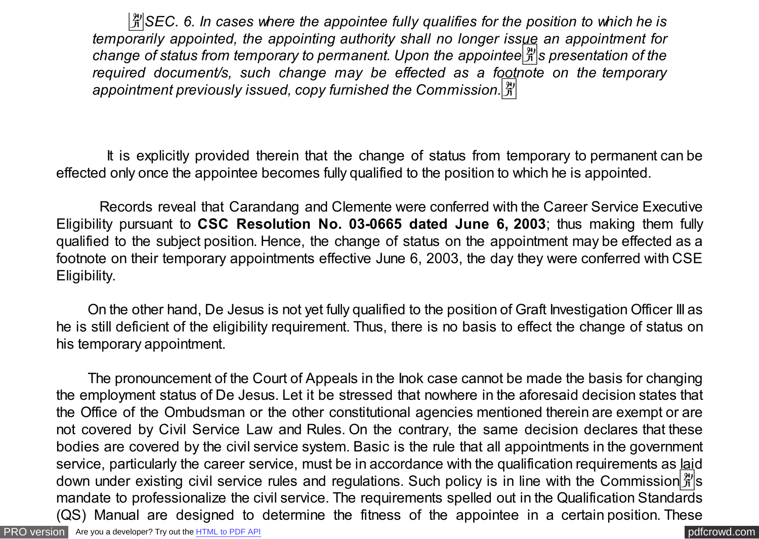�*SEC. 6. In cases where the appointee fully qualifies for the position to which he is temporarily appointed, the appointing authority shall no longer issue an appointment for change of status from temporary to permanent. Upon the appointee*  $\frac{1}{2}$  *s* presentation of the *required document/s, such change may be effected as a footnote on the temporary appointment previously issued, copy furnished the Commission.*�

 It is explicitly provided therein that the change of status from temporary to permanent can be effected only once the appointee becomes fully qualified to the position to which he is appointed.

 Records reveal that Carandang and Clemente were conferred with the Career Service Executive Eligibility pursuant to **CSC Resolution No. 03-0665 dated June 6, 2003**; thus making them fully qualified to the subject position. Hence, the change of status on the appointment may be effected as a footnote on their temporary appointments effective June 6, 2003, the day they were conferred with CSE Eligibility.

 On the other hand, De Jesus is not yet fully qualified to the position of Graft Investigation Officer III as he is still deficient of the eligibility requirement. Thus, there is no basis to effect the change of status on his temporary appointment.

 The pronouncement of the Court of Appeals in the Inok case cannot be made the basis for changing the employment status of De Jesus. Let it be stressed that nowhere in the aforesaid decision states that the Office of the Ombudsman or the other constitutional agencies mentioned therein are exempt or are not covered by Civil Service Law and Rules. On the contrary, the same decision declares that these bodies are covered by the civil service system. Basic is the rule that all appointments in the government service, particularly the career service, must be in accordance with the qualification requirements as laid down under existing civil service rules and regulations. Such policy is in line with the Commission  $\frac{10}{11}$  s mandate to professionalize the civil service. The requirements spelled out in the Qualification Standards (QS) Manual are designed to determine the fitness of the appointee in a certain position. These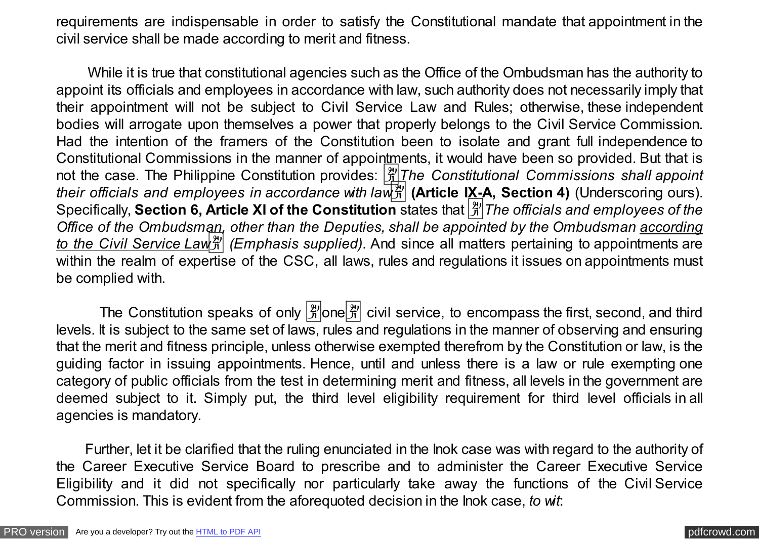requirements are indispensable in order to satisfy the Constitutional mandate that appointment in the civil service shall be made according to merit and fitness.

 While it is true that constitutional agencies such as the Office of the Ombudsman has the authority to appoint its officials and employees in accordance with law, such authority does not necessarily imply that their appointment will not be subject to Civil Service Law and Rules; otherwise, these independent bodies will arrogate upon themselves a power that properly belongs to the Civil Service Commission. Had the intention of the framers of the Constitution been to isolate and grant full independence to Constitutional Commissions in the manner of appointments, it would have been so provided. But that is not the case. The Philippine Constitution provides: �*The Constitutional Commissions shall appoint their officials and employees in accordance with law<sup>or</sup> (Article IX-A, Section 4) (Underscoring ours).* Specifically, **Section 6, Article XI of the Constitution** states that �*The officials and employees of the Office of the Ombudsman, other than the Deputies, shall be appointed by the Ombudsman according to the Civil Service Law*<sup>3</sup>/<sub>1</sub> (*Emphasis supplied*). And since all matters pertaining to appointments are within the realm of expertise of the CSC, all laws, rules and regulations it issues on appointments must be complied with.

The Constitution speaks of only  $\frac{[2]}{N}$  one  $\frac{[2]}{N}$  civil service, to encompass the first, second, and third levels. It is subject to the same set of laws, rules and regulations in the manner of observing and ensuring that the merit and fitness principle, unless otherwise exempted therefrom by the Constitution or law, is the guiding factor in issuing appointments. Hence, until and unless there is a law or rule exempting one category of public officials from the test in determining merit and fitness, all levels in the government are deemed subject to it. Simply put, the third level eligibility requirement for third level officials in all agencies is mandatory.

 Further, let it be clarified that the ruling enunciated in the Inok case was with regard to the authority of the Career Executive Service Board to prescribe and to administer the Career Executive Service Eligibility and it did not specifically nor particularly take away the functions of the Civil Service Commission. This is evident from the aforequoted decision in the Inok case, *to wit*: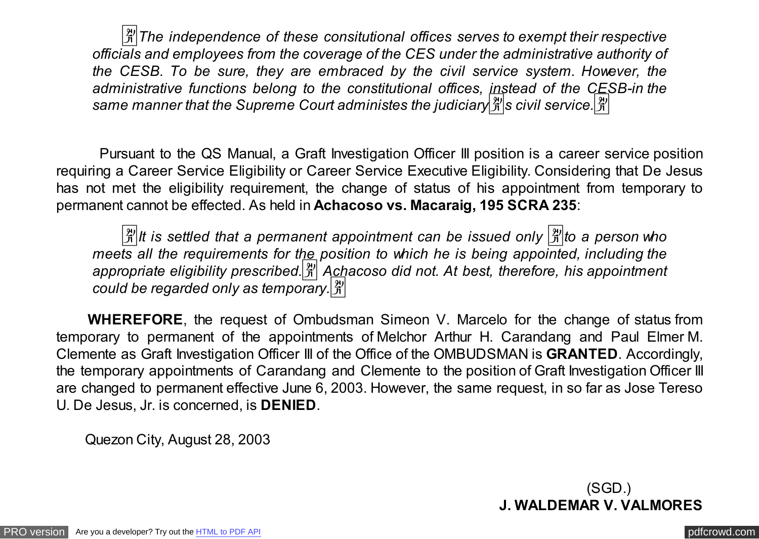�*The independence of these consitutional offices serves to exempt their respective officials and employees from the coverage of the CES under the administrative authority of the CESB. To be sure, they are embraced by the civil service system. However, the administrative functions belong to the constitutional offices, instead of the CESB-in the* same manner that the Supreme Court administes the judiciary  $\frac{\aleph}{\triangle}$  s civil service.  $\frac{\aleph}{\triangle}$ 

 Pursuant to the QS Manual, a Graft Investigation Officer III position is a career service position requiring a Career Service Eligibility or Career Service Executive Eligibility. Considering that De Jesus has not met the eligibility requirement, the change of status of his appointment from temporary to permanent cannot be effected. As held in **Achacoso vs. Macaraig, 195 SCRA 235**:

 $\frac{X}{X}$  it is settled that a permanent appointment can be issued only  $\frac{X}{X}$  to a person who *meets all the requirements for the position to which he is being appointed, including the* appropriate eligibility prescribed.<sup>[3]</sup> Achacoso did not. At best, therefore, his appointment *could be regarded only as temporary.*�

 **WHEREFORE**, the request of Ombudsman Simeon V. Marcelo for the change of status from temporary to permanent of the appointments of Melchor Arthur H. Carandang and Paul Elmer M. Clemente as Graft Investigation Officer III of the Office of the OMBUDSMAN is **GRANTED**. Accordingly, the temporary appointments of Carandang and Clemente to the position of Graft Investigation Officer III are changed to permanent effective June 6, 2003. However, the same request, in so far as Jose Tereso U. De Jesus, Jr. is concerned, is **DENIED**.

Quezon City, August 28, 2003

(SGD.) **J. WALDEMAR V. VALMORES**